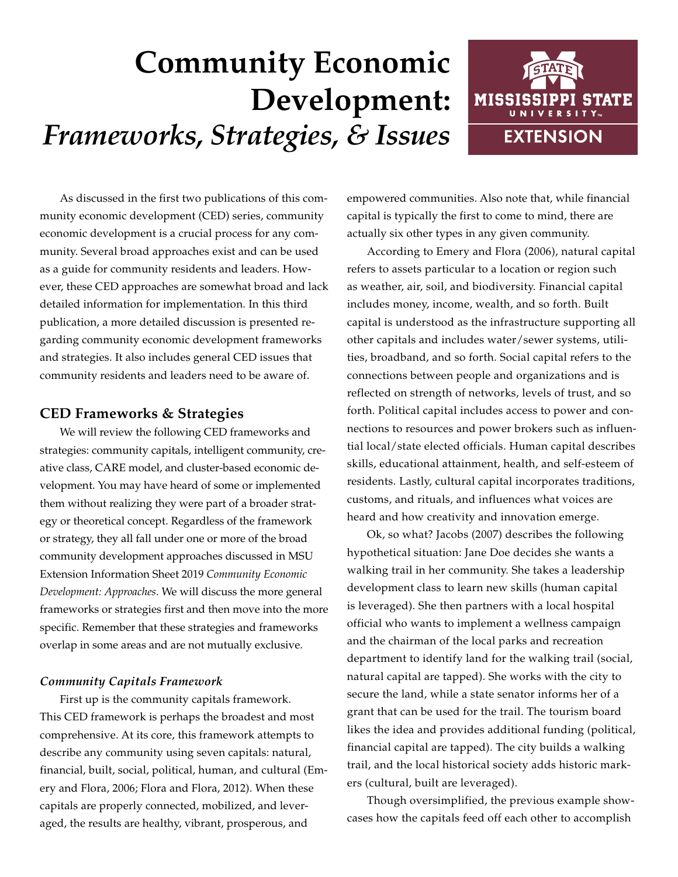# **Community Economic Development:**  *Frameworks, Strategies, & Issues*



As discussed in the first two publications of this community economic development (CED) series, community economic development is a crucial process for any community. Several broad approaches exist and can be used as a guide for community residents and leaders. However, these CED approaches are somewhat broad and lack detailed information for implementation. In this third publication, a more detailed discussion is presented regarding community economic development frameworks and strategies. It also includes general CED issues that community residents and leaders need to be aware of.

## **CED Frameworks & Strategies**

We will review the following CED frameworks and strategies: community capitals, intelligent community, creative class, CARE model, and cluster-based economic development. You may have heard of some or implemented them without realizing they were part of a broader strategy or theoretical concept. Regardless of the framework or strategy, they all fall under one or more of the broad community development approaches discussed in MSU Extension Information Sheet 2019 *Community Economic Development: Approaches*. We will discuss the more general frameworks or strategies first and then move into the more specific. Remember that these strategies and frameworks overlap in some areas and are not mutually exclusive.

### *Community Capitals Framework*

First up is the community capitals framework. This CED framework is perhaps the broadest and most comprehensive. At its core, this framework attempts to describe any community using seven capitals: natural, financial, built, social, political, human, and cultural (Emery and Flora, 2006; Flora and Flora, 2012). When these capitals are properly connected, mobilized, and leveraged, the results are healthy, vibrant, prosperous, and

empowered communities. Also note that, while financial capital is typically the first to come to mind, there are actually six other types in any given community.

According to Emery and Flora (2006), natural capital refers to assets particular to a location or region such as weather, air, soil, and biodiversity. Financial capital includes money, income, wealth, and so forth. Built capital is understood as the infrastructure supporting all other capitals and includes water/sewer systems, utilities, broadband, and so forth. Social capital refers to the connections between people and organizations and is reflected on strength of networks, levels of trust, and so forth. Political capital includes access to power and connections to resources and power brokers such as influential local/state elected officials. Human capital describes skills, educational attainment, health, and self-esteem of residents. Lastly, cultural capital incorporates traditions, customs, and rituals, and influences what voices are heard and how creativity and innovation emerge.

Ok, so what? Jacobs (2007) describes the following hypothetical situation: Jane Doe decides she wants a walking trail in her community. She takes a leadership development class to learn new skills (human capital is leveraged). She then partners with a local hospital official who wants to implement a wellness campaign and the chairman of the local parks and recreation department to identify land for the walking trail (social, natural capital are tapped). She works with the city to secure the land, while a state senator informs her of a grant that can be used for the trail. The tourism board likes the idea and provides additional funding (political, financial capital are tapped). The city builds a walking trail, and the local historical society adds historic markers (cultural, built are leveraged).

Though oversimplified, the previous example showcases how the capitals feed off each other to accomplish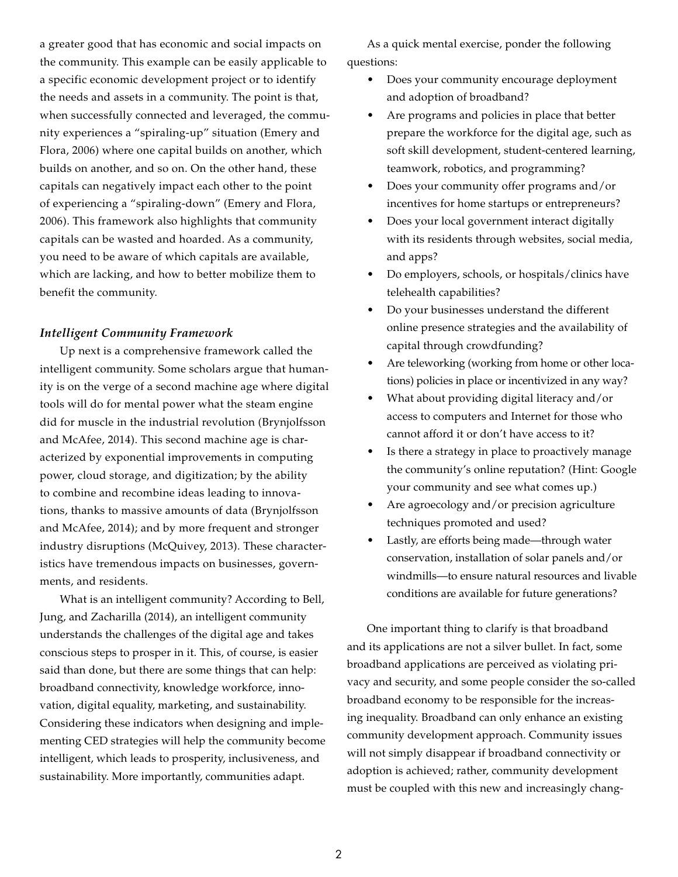a greater good that has economic and social impacts on the community. This example can be easily applicable to a specific economic development project or to identify the needs and assets in a community. The point is that, when successfully connected and leveraged, the community experiences a "spiraling-up" situation (Emery and Flora, 2006) where one capital builds on another, which builds on another, and so on. On the other hand, these capitals can negatively impact each other to the point of experiencing a "spiraling-down" (Emery and Flora, 2006). This framework also highlights that community capitals can be wasted and hoarded. As a community, you need to be aware of which capitals are available, which are lacking, and how to better mobilize them to benefit the community.

#### *Intelligent Community Framework*

Up next is a comprehensive framework called the intelligent community. Some scholars argue that humanity is on the verge of a second machine age where digital tools will do for mental power what the steam engine did for muscle in the industrial revolution (Brynjolfsson and McAfee, 2014). This second machine age is characterized by exponential improvements in computing power, cloud storage, and digitization; by the ability to combine and recombine ideas leading to innovations, thanks to massive amounts of data (Brynjolfsson and McAfee, 2014); and by more frequent and stronger industry disruptions (McQuivey, 2013). These characteristics have tremendous impacts on businesses, governments, and residents.

What is an intelligent community? According to Bell, Jung, and Zacharilla (2014), an intelligent community understands the challenges of the digital age and takes conscious steps to prosper in it. This, of course, is easier said than done, but there are some things that can help: broadband connectivity, knowledge workforce, innovation, digital equality, marketing, and sustainability. Considering these indicators when designing and implementing CED strategies will help the community become intelligent, which leads to prosperity, inclusiveness, and sustainability. More importantly, communities adapt.

As a quick mental exercise, ponder the following questions:

- Does your community encourage deployment and adoption of broadband?
- Are programs and policies in place that better prepare the workforce for the digital age, such as soft skill development, student-centered learning, teamwork, robotics, and programming?
- Does your community offer programs and/or incentives for home startups or entrepreneurs?
- Does your local government interact digitally with its residents through websites, social media, and apps?
- Do employers, schools, or hospitals/clinics have telehealth capabilities?
- Do your businesses understand the different online presence strategies and the availability of capital through crowdfunding?
- Are teleworking (working from home or other locations) policies in place or incentivized in any way?
- What about providing digital literacy and/or access to computers and Internet for those who cannot afford it or don't have access to it?
- Is there a strategy in place to proactively manage the community's online reputation? (Hint: Google your community and see what comes up.)
- Are agroecology and/or precision agriculture techniques promoted and used?
- Lastly, are efforts being made—through water conservation, installation of solar panels and/or windmills—to ensure natural resources and livable conditions are available for future generations?

One important thing to clarify is that broadband and its applications are not a silver bullet. In fact, some broadband applications are perceived as violating privacy and security, and some people consider the so-called broadband economy to be responsible for the increasing inequality. Broadband can only enhance an existing community development approach. Community issues will not simply disappear if broadband connectivity or adoption is achieved; rather, community development must be coupled with this new and increasingly chang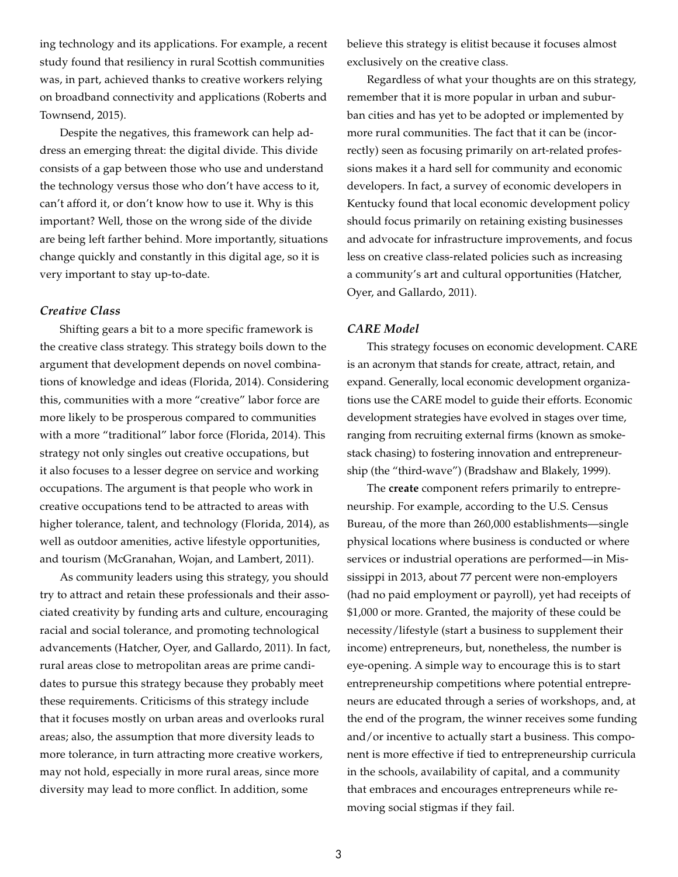ing technology and its applications. For example, a recent study found that resiliency in rural Scottish communities was, in part, achieved thanks to creative workers relying on broadband connectivity and applications (Roberts and Townsend, 2015).

Despite the negatives, this framework can help address an emerging threat: the digital divide. This divide consists of a gap between those who use and understand the technology versus those who don't have access to it, can't afford it, or don't know how to use it. Why is this important? Well, those on the wrong side of the divide are being left farther behind. More importantly, situations change quickly and constantly in this digital age, so it is very important to stay up-to-date.

#### *Creative Class*

Shifting gears a bit to a more specific framework is the creative class strategy. This strategy boils down to the argument that development depends on novel combinations of knowledge and ideas (Florida, 2014). Considering this, communities with a more "creative" labor force are more likely to be prosperous compared to communities with a more "traditional" labor force (Florida, 2014). This strategy not only singles out creative occupations, but it also focuses to a lesser degree on service and working occupations. The argument is that people who work in creative occupations tend to be attracted to areas with higher tolerance, talent, and technology (Florida, 2014), as well as outdoor amenities, active lifestyle opportunities, and tourism (McGranahan, Wojan, and Lambert, 2011).

As community leaders using this strategy, you should try to attract and retain these professionals and their associated creativity by funding arts and culture, encouraging racial and social tolerance, and promoting technological advancements (Hatcher, Oyer, and Gallardo, 2011). In fact, rural areas close to metropolitan areas are prime candidates to pursue this strategy because they probably meet these requirements. Criticisms of this strategy include that it focuses mostly on urban areas and overlooks rural areas; also, the assumption that more diversity leads to more tolerance, in turn attracting more creative workers, may not hold, especially in more rural areas, since more diversity may lead to more conflict. In addition, some

believe this strategy is elitist because it focuses almost exclusively on the creative class.

Regardless of what your thoughts are on this strategy, remember that it is more popular in urban and suburban cities and has yet to be adopted or implemented by more rural communities. The fact that it can be (incorrectly) seen as focusing primarily on art-related professions makes it a hard sell for community and economic developers. In fact, a survey of economic developers in Kentucky found that local economic development policy should focus primarily on retaining existing businesses and advocate for infrastructure improvements, and focus less on creative class-related policies such as increasing a community's art and cultural opportunities (Hatcher, Oyer, and Gallardo, 2011).

#### *CARE Model*

This strategy focuses on economic development. CARE is an acronym that stands for create, attract, retain, and expand. Generally, local economic development organizations use the CARE model to guide their efforts. Economic development strategies have evolved in stages over time, ranging from recruiting external firms (known as smokestack chasing) to fostering innovation and entrepreneurship (the "third-wave") (Bradshaw and Blakely, 1999).

The **create** component refers primarily to entrepreneurship. For example, according to the U.S. Census Bureau, of the more than 260,000 establishments—single physical locations where business is conducted or where services or industrial operations are performed—in Mississippi in 2013, about 77 percent were non-employers (had no paid employment or payroll), yet had receipts of \$1,000 or more. Granted, the majority of these could be necessity/lifestyle (start a business to supplement their income) entrepreneurs, but, nonetheless, the number is eye-opening. A simple way to encourage this is to start entrepreneurship competitions where potential entrepreneurs are educated through a series of workshops, and, at the end of the program, the winner receives some funding and/or incentive to actually start a business. This component is more effective if tied to entrepreneurship curricula in the schools, availability of capital, and a community that embraces and encourages entrepreneurs while removing social stigmas if they fail.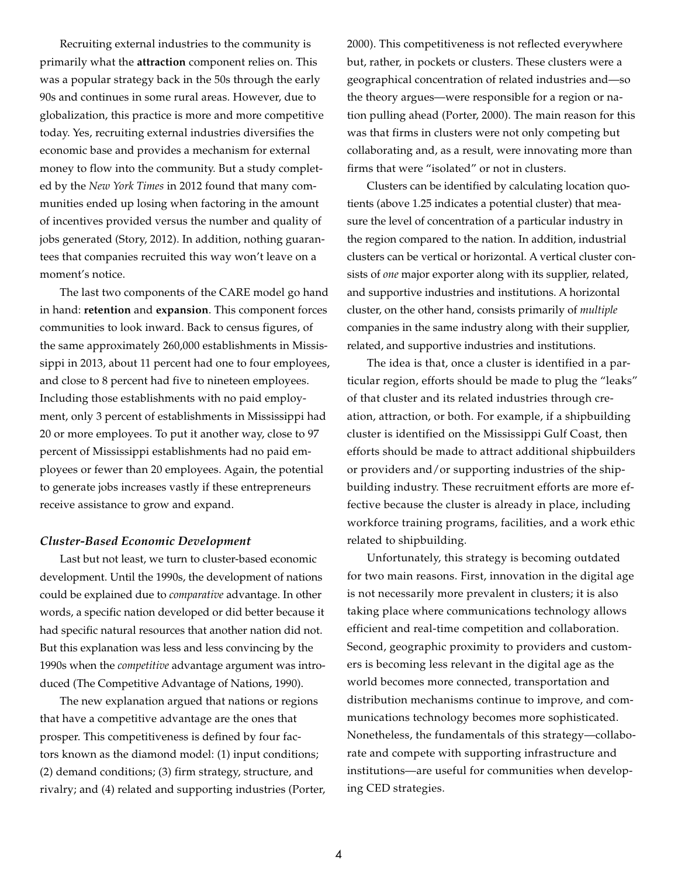Recruiting external industries to the community is primarily what the **attraction** component relies on. This was a popular strategy back in the 50s through the early 90s and continues in some rural areas. However, due to globalization, this practice is more and more competitive today. Yes, recruiting external industries diversifies the economic base and provides a mechanism for external money to flow into the community. But a study completed by the *New York Times* in 2012 found that many communities ended up losing when factoring in the amount of incentives provided versus the number and quality of jobs generated (Story, 2012). In addition, nothing guarantees that companies recruited this way won't leave on a moment's notice.

The last two components of the CARE model go hand in hand: **retention** and **expansion**. This component forces communities to look inward. Back to census figures, of the same approximately 260,000 establishments in Mississippi in 2013, about 11 percent had one to four employees, and close to 8 percent had five to nineteen employees. Including those establishments with no paid employment, only 3 percent of establishments in Mississippi had 20 or more employees. To put it another way, close to 97 percent of Mississippi establishments had no paid employees or fewer than 20 employees. Again, the potential to generate jobs increases vastly if these entrepreneurs receive assistance to grow and expand.

#### *Cluster-Based Economic Development*

Last but not least, we turn to cluster-based economic development. Until the 1990s, the development of nations could be explained due to *comparative* advantage. In other words, a specific nation developed or did better because it had specific natural resources that another nation did not. But this explanation was less and less convincing by the 1990s when the *competitive* advantage argument was introduced (The Competitive Advantage of Nations, 1990).

The new explanation argued that nations or regions that have a competitive advantage are the ones that prosper. This competitiveness is defined by four factors known as the diamond model: (1) input conditions; (2) demand conditions; (3) firm strategy, structure, and rivalry; and (4) related and supporting industries (Porter, 2000). This competitiveness is not reflected everywhere but, rather, in pockets or clusters. These clusters were a geographical concentration of related industries and—so the theory argues—were responsible for a region or nation pulling ahead (Porter, 2000). The main reason for this was that firms in clusters were not only competing but collaborating and, as a result, were innovating more than firms that were "isolated" or not in clusters.

Clusters can be identified by calculating location quotients (above 1.25 indicates a potential cluster) that measure the level of concentration of a particular industry in the region compared to the nation. In addition, industrial clusters can be vertical or horizontal. A vertical cluster consists of *one* major exporter along with its supplier, related, and supportive industries and institutions. A horizontal cluster, on the other hand, consists primarily of *multiple* companies in the same industry along with their supplier, related, and supportive industries and institutions.

The idea is that, once a cluster is identified in a particular region, efforts should be made to plug the "leaks" of that cluster and its related industries through creation, attraction, or both. For example, if a shipbuilding cluster is identified on the Mississippi Gulf Coast, then efforts should be made to attract additional shipbuilders or providers and/or supporting industries of the shipbuilding industry. These recruitment efforts are more effective because the cluster is already in place, including workforce training programs, facilities, and a work ethic related to shipbuilding.

Unfortunately, this strategy is becoming outdated for two main reasons. First, innovation in the digital age is not necessarily more prevalent in clusters; it is also taking place where communications technology allows efficient and real-time competition and collaboration. Second, geographic proximity to providers and customers is becoming less relevant in the digital age as the world becomes more connected, transportation and distribution mechanisms continue to improve, and communications technology becomes more sophisticated. Nonetheless, the fundamentals of this strategy—collaborate and compete with supporting infrastructure and institutions—are useful for communities when developing CED strategies.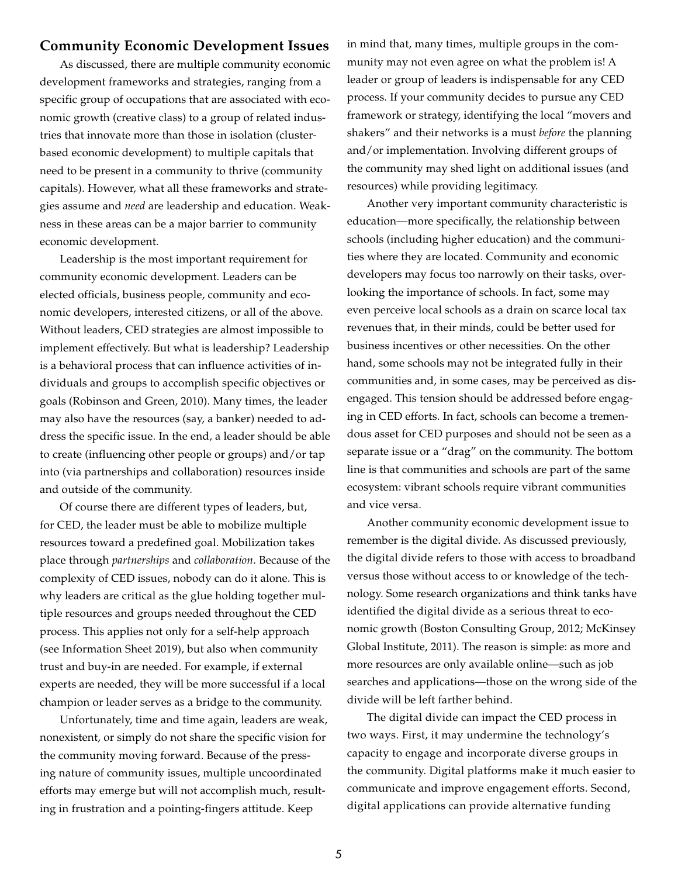## **Community Economic Development Issues**

As discussed, there are multiple community economic development frameworks and strategies, ranging from a specific group of occupations that are associated with economic growth (creative class) to a group of related industries that innovate more than those in isolation (clusterbased economic development) to multiple capitals that need to be present in a community to thrive (community capitals). However, what all these frameworks and strategies assume and *need* are leadership and education. Weakness in these areas can be a major barrier to community economic development.

Leadership is the most important requirement for community economic development. Leaders can be elected officials, business people, community and economic developers, interested citizens, or all of the above. Without leaders, CED strategies are almost impossible to implement effectively. But what is leadership? Leadership is a behavioral process that can influence activities of individuals and groups to accomplish specific objectives or goals (Robinson and Green, 2010). Many times, the leader may also have the resources (say, a banker) needed to address the specific issue. In the end, a leader should be able to create (influencing other people or groups) and/or tap into (via partnerships and collaboration) resources inside and outside of the community.

Of course there are different types of leaders, but, for CED, the leader must be able to mobilize multiple resources toward a predefined goal. Mobilization takes place through *partnerships* and *collaboration*. Because of the complexity of CED issues, nobody can do it alone. This is why leaders are critical as the glue holding together multiple resources and groups needed throughout the CED process. This applies not only for a self-help approach (see Information Sheet 2019), but also when community trust and buy-in are needed. For example, if external experts are needed, they will be more successful if a local champion or leader serves as a bridge to the community.

Unfortunately, time and time again, leaders are weak, nonexistent, or simply do not share the specific vision for the community moving forward. Because of the pressing nature of community issues, multiple uncoordinated efforts may emerge but will not accomplish much, resulting in frustration and a pointing-fingers attitude. Keep

in mind that, many times, multiple groups in the community may not even agree on what the problem is! A leader or group of leaders is indispensable for any CED process. If your community decides to pursue any CED framework or strategy, identifying the local "movers and shakers" and their networks is a must *before* the planning and/or implementation. Involving different groups of the community may shed light on additional issues (and resources) while providing legitimacy.

Another very important community characteristic is education—more specifically, the relationship between schools (including higher education) and the communities where they are located. Community and economic developers may focus too narrowly on their tasks, overlooking the importance of schools. In fact, some may even perceive local schools as a drain on scarce local tax revenues that, in their minds, could be better used for business incentives or other necessities. On the other hand, some schools may not be integrated fully in their communities and, in some cases, may be perceived as disengaged. This tension should be addressed before engaging in CED efforts. In fact, schools can become a tremendous asset for CED purposes and should not be seen as a separate issue or a "drag" on the community. The bottom line is that communities and schools are part of the same ecosystem: vibrant schools require vibrant communities and vice versa.

Another community economic development issue to remember is the digital divide. As discussed previously, the digital divide refers to those with access to broadband versus those without access to or knowledge of the technology. Some research organizations and think tanks have identified the digital divide as a serious threat to economic growth (Boston Consulting Group, 2012; McKinsey Global Institute, 2011). The reason is simple: as more and more resources are only available online—such as job searches and applications—those on the wrong side of the divide will be left farther behind.

The digital divide can impact the CED process in two ways. First, it may undermine the technology's capacity to engage and incorporate diverse groups in the community. Digital platforms make it much easier to communicate and improve engagement efforts. Second, digital applications can provide alternative funding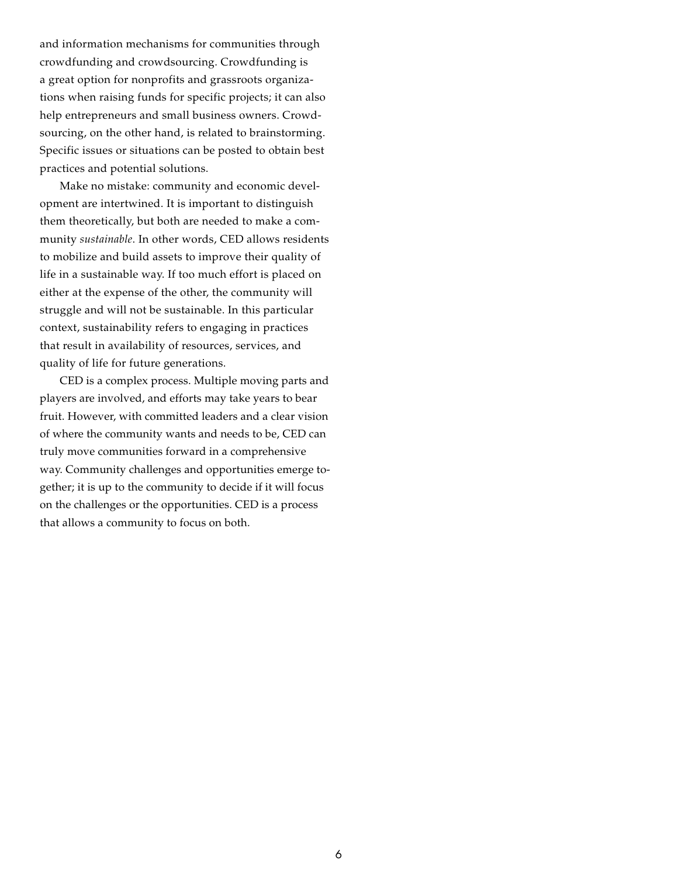and information mechanisms for communities through crowdfunding and crowdsourcing. Crowdfunding is a great option for nonprofits and grassroots organizations when raising funds for specific projects; it can also help entrepreneurs and small business owners. Crowdsourcing, on the other hand, is related to brainstorming. Specific issues or situations can be posted to obtain best practices and potential solutions.

Make no mistake: community and economic development are intertwined. It is important to distinguish them theoretically, but both are needed to make a community *sustainable*. In other words, CED allows residents to mobilize and build assets to improve their quality of life in a sustainable way. If too much effort is placed on either at the expense of the other, the community will struggle and will not be sustainable. In this particular context, sustainability refers to engaging in practices that result in availability of resources, services, and quality of life for future generations.

CED is a complex process. Multiple moving parts and players are involved, and efforts may take years to bear fruit. However, with committed leaders and a clear vision of where the community wants and needs to be, CED can truly move communities forward in a comprehensive way. Community challenges and opportunities emerge together; it is up to the community to decide if it will focus on the challenges or the opportunities. CED is a process that allows a community to focus on both.